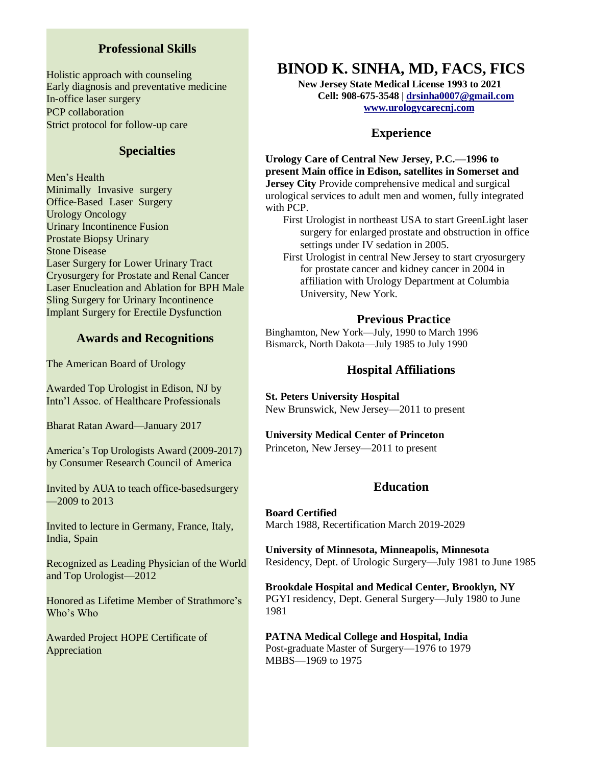## **Professional Skills**

Holistic approach with counseling Early diagnosis and preventative medicine In-office laser surgery PCP collaboration Strict protocol for follow-up care

## **Specialties**

Men's Health Minimally Invasive surgery Office-Based Laser Surgery Urology Oncology Urinary Incontinence Fusion Prostate Biopsy Urinary Stone Disease Laser Surgery for Lower Urinary Tract Cryosurgery for Prostate and Renal Cancer Laser Enucleation and Ablation for BPH Male Sling Surgery for Urinary Incontinence Implant Surgery for Erectile Dysfunction

## **Awards and Recognitions**

The American Board of Urology

Awarded Top Urologist in Edison, NJ by Intn'l Assoc. of Healthcare Professionals

Bharat Ratan Award—January 2017

America's Top Urologists Award (2009-2017) by Consumer Research Council of America

Invited by AUA to teach office-basedsurgery —2009 to 2013

Invited to lecture in Germany, France, Italy, India, Spain

Recognized as Leading Physician of the World and Top Urologist—2012

Honored as Lifetime Member of Strathmore's Who's Who

Awarded Project HOPE Certificate of Appreciation

# **BINOD K. SINHA, MD, FACS, FICS**

**New Jersey State Medical License 1993 to 2021 Cell: 908-675-3548 | [drsinha0007@gmail.com](mailto:drsinha0007@gmail.com) [www.urologycarecnj.com](http://www.uroligycarecnj.com/)**

## **Experience**

**Urology Care of Central New Jersey, P.C.—1996 to present Main office in Edison, satellites in Somerset and Jersey City** Provide comprehensive medical and surgical urological services to adult men and women, fully integrated with PCP.

First Urologist in northeast USA to start GreenLight laser surgery for enlarged prostate and obstruction in office settings under IV sedation in 2005.

First Urologist in central New Jersey to start cryosurgery for prostate cancer and kidney cancer in 2004 in affiliation with Urology Department at Columbia University, New York.

## **Previous Practice**

Binghamton, New York—July, 1990 to March 1996 Bismarck, North Dakota—July 1985 to July 1990

## **Hospital Affiliations**

**St. Peters University Hospital** New Brunswick, New Jersey—2011 to present

#### **University Medical Center of Princeton**

Princeton, New Jersey—2011 to present

## **Education**

**Board Certified** March 1988, Recertification March 2019-2029

**University of Minnesota, Minneapolis, Minnesota** Residency, Dept. of Urologic Surgery—July 1981 to June 1985

**Brookdale Hospital and Medical Center, Brooklyn, NY** PGYI residency, Dept. General Surgery—July 1980 to June 1981

**PATNA Medical College and Hospital, India**  Post-graduate Master of Surgery—1976 to 1979 MBBS—1969 to 1975